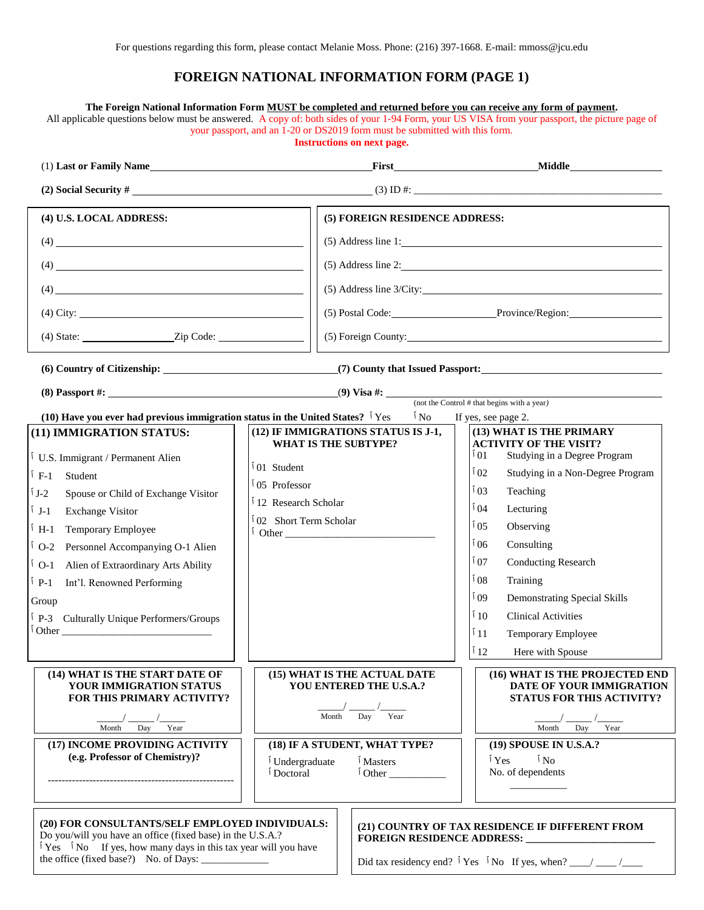## **FOREIGN NATIONAL INFORMATION FORM (PAGE 1)**

|                                                                                                                                                                                                                                                                                                                                                            |                                                                                                                                                                                                    | your passport, and an 1-20 or DS2019 form must be submitted with this form.<br><b>Instructions on next page.</b> | The Foreign National Information Form MUST be completed and returned before you can receive any form of payment.<br>All applicable questions below must be answered. A copy of: both sides of your 1-94 Form, your US VISA from your passport, the picture page of                          |  |
|------------------------------------------------------------------------------------------------------------------------------------------------------------------------------------------------------------------------------------------------------------------------------------------------------------------------------------------------------------|----------------------------------------------------------------------------------------------------------------------------------------------------------------------------------------------------|------------------------------------------------------------------------------------------------------------------|---------------------------------------------------------------------------------------------------------------------------------------------------------------------------------------------------------------------------------------------------------------------------------------------|--|
|                                                                                                                                                                                                                                                                                                                                                            |                                                                                                                                                                                                    |                                                                                                                  | (1) Last or Family Name Middle Manual Communication of the Communication of the Communication of the Communication of the Communication of the Communication of the Communication of the Communication of the Communication of                                                              |  |
|                                                                                                                                                                                                                                                                                                                                                            |                                                                                                                                                                                                    |                                                                                                                  | (2) Social Security #                                                                                                                                                                                                                                                                       |  |
| (4) U.S. LOCAL ADDRESS:                                                                                                                                                                                                                                                                                                                                    |                                                                                                                                                                                                    | (5) FOREIGN RESIDENCE ADDRESS:                                                                                   |                                                                                                                                                                                                                                                                                             |  |
| $(4) \begin{tabular}{ l l l l } \hline \rule{0.2cm}{.01cm} \rule{0.2cm}{.01cm} \rule{0.2cm}{.01cm} \rule{0.2cm}{.01cm} \rule{0.2cm}{.01cm} \rule{0.2cm}{.01cm} \rule{0.2cm}{.01cm} \rule{0.2cm}{.01cm} \rule{0.2cm}{.01cm} \rule{0.2cm}{.01cm} \rule{0.2cm}{.01cm} \rule{0.2cm}{.01cm} \rule{0.2cm}{.01cm} \rule{0.2cm}{.01cm} \rule{0.2cm}{.01cm} \rule{$ |                                                                                                                                                                                                    | $(5)$ Address line 1:                                                                                            |                                                                                                                                                                                                                                                                                             |  |
|                                                                                                                                                                                                                                                                                                                                                            |                                                                                                                                                                                                    |                                                                                                                  | $(5)$ Address line 2:                                                                                                                                                                                                                                                                       |  |
| $(4) \qquad \qquad (4)$                                                                                                                                                                                                                                                                                                                                    |                                                                                                                                                                                                    |                                                                                                                  |                                                                                                                                                                                                                                                                                             |  |
| $(4)$ City:                                                                                                                                                                                                                                                                                                                                                |                                                                                                                                                                                                    | (5) Postal Code: Province/Region:                                                                                |                                                                                                                                                                                                                                                                                             |  |
| $(4) State:$ $Zip Code:$                                                                                                                                                                                                                                                                                                                                   |                                                                                                                                                                                                    |                                                                                                                  |                                                                                                                                                                                                                                                                                             |  |
|                                                                                                                                                                                                                                                                                                                                                            |                                                                                                                                                                                                    |                                                                                                                  |                                                                                                                                                                                                                                                                                             |  |
|                                                                                                                                                                                                                                                                                                                                                            |                                                                                                                                                                                                    |                                                                                                                  |                                                                                                                                                                                                                                                                                             |  |
| (10) Have you ever had previous immigration status in the United States? $\frac{1}{1}$ Yes<br>(11) IMMIGRATION STATUS:<br>U.S. Immigrant / Permanent Alien<br>Í F-1<br>Student<br>Í J-2<br>Spouse or Child of Exchange Visitor<br>Í J-1<br><b>Exchange Visitor</b>                                                                                         | $\mathbf{N}_0$<br>(12) IF IMMIGRATIONS STATUS IS J-1,<br><b>WHAT IS THE SUBTYPE?</b><br>$101$ Student<br>$105$ Professor<br><sup>1</sup> 12 Research Scholar<br><sup>1</sup> 02 Short Term Scholar |                                                                                                                  | (not the Control # that begins with a year)<br>If yes, see page 2.<br>(13) WHAT IS THE PRIMARY<br><b>ACTIVITY OF THE VISIT?</b><br>$\overline{1}01$<br>Studying in a Degree Program<br>102<br>Studying in a Non-Degree Program<br>103<br>Teaching<br>$\sqrt{104}$<br>Lecturing              |  |
| ៍ H-1<br>Temporary Employee<br>$\overline{1}$ O-2<br>Personnel Accompanying O-1 Alien<br>$\rm ^1$ O-1<br>Alien of Extraordinary Arts Ability<br>$\mathfrak{p}_{-1}$<br>Int'l. Renowned Performing<br>Group<br>P-3 Culturally Unique Performers/Groups<br>$\int$ Other $\Box$                                                                               |                                                                                                                                                                                                    |                                                                                                                  | $\frac{1}{1}05$<br>Observing<br>106<br>Consulting<br>$\frac{1}{1}07$<br><b>Conducting Research</b><br>$\sqrt{0}$<br>Training<br>09 آ<br><b>Demonstrating Special Skills</b><br>$^\mathrm{f}$ 10<br><b>Clinical Activities</b><br>11<br><b>Temporary Employee</b><br>112<br>Here with Spouse |  |
| (14) WHAT IS THE START DATE OF<br>YOUR IMMIGRATION STATUS<br><b>FOR THIS PRIMARY ACTIVITY?</b><br>Month<br>Day<br>Year                                                                                                                                                                                                                                     | (15) WHAT IS THE ACTUAL DATE<br>YOU ENTERED THE U.S.A.?<br>Year<br>Month<br>Day                                                                                                                    |                                                                                                                  | (16) WHAT IS THE PROJECTED END<br>DATE OF YOUR IMMIGRATION<br><b>STATUS FOR THIS ACTIVITY?</b><br>Month<br>Year<br>Day                                                                                                                                                                      |  |
| (17) INCOME PROVIDING ACTIVITY<br>(e.g. Professor of Chemistry)?                                                                                                                                                                                                                                                                                           | <sup>1</sup> Undergraduate<br><sup>1</sup> Doctoral                                                                                                                                                | (18) IF A STUDENT, WHAT TYPE?<br><sup>1</sup> Masters<br>$\int$ Other                                            | (19) SPOUSE IN U.S.A.?<br>$\mathbf{1}_{\mathrm{No}}$<br>$\mathbf{Y}$ es<br>No. of dependents                                                                                                                                                                                                |  |
| (20) FOR CONSULTANTS/SELF EMPLOYED INDIVIDUALS:<br>Do you/will you have an office (fixed base) in the U.S.A.?<br>$\sqrt{1}$ Yes $\sqrt{1}$ No If yes, how many days in this tax year will you have<br>the office (fixed base?) No. of Days:                                                                                                                |                                                                                                                                                                                                    |                                                                                                                  | (21) COUNTRY OF TAX RESIDENCE IF DIFFERENT FROM                                                                                                                                                                                                                                             |  |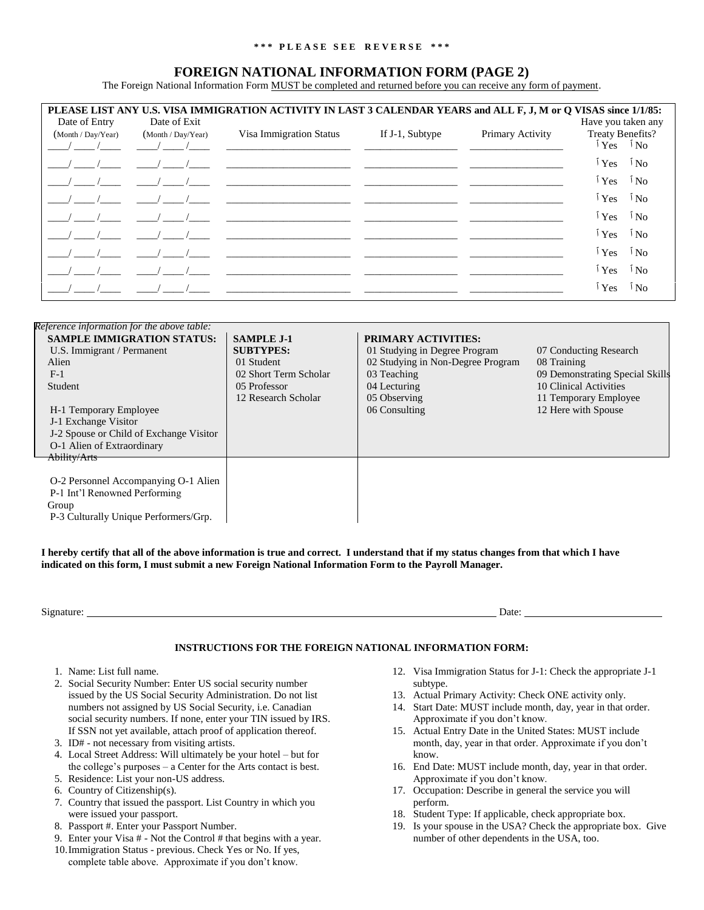## **\* \* \* P L E A S E S E E R E V E R S E \* \* \***

## **FOREIGN NATIONAL INFORMATION FORM (PAGE 2)**

The Foreign National Information Form MUST be completed and returned before you can receive any form of payment.

| PLEASE LIST ANY U.S. VISA IMMIGRATION ACTIVITY IN LAST 3 CALENDAR YEARS and ALL F, J, M or Q VISAS since 1/1/85:<br>Date of Entry<br>Have you taken any<br>Date of Exit |                                    |                                                                                                                                                                                                                                                                                                                                    |                 |                  |                                                              |  |  |
|-------------------------------------------------------------------------------------------------------------------------------------------------------------------------|------------------------------------|------------------------------------------------------------------------------------------------------------------------------------------------------------------------------------------------------------------------------------------------------------------------------------------------------------------------------------|-----------------|------------------|--------------------------------------------------------------|--|--|
| (Month / Day/Year)                                                                                                                                                      | (Month / Day / Year)<br>$\sqrt{1}$ | Visa Immigration Status<br><u> 1980 - Jan Samuel Barbara, martin al-A</u>                                                                                                                                                                                                                                                          | If J-1, Subtype | Primary Activity | Treaty Benefits?<br>$\iota_{\text{Yes}}$ $\iota_{\text{No}}$ |  |  |
|                                                                                                                                                                         |                                    |                                                                                                                                                                                                                                                                                                                                    |                 |                  | <sup>Ĩ</sup> Yes <sup>Ĩ</sup> No                             |  |  |
|                                                                                                                                                                         |                                    |                                                                                                                                                                                                                                                                                                                                    |                 |                  | <sup>i</sup> Yes <sup>i</sup> No                             |  |  |
|                                                                                                                                                                         |                                    | $\overline{a}$ and $\overline{a}$ and $\overline{a}$ and $\overline{a}$ and $\overline{a}$ and $\overline{a}$ and $\overline{a}$ and $\overline{a}$ and $\overline{a}$ and $\overline{a}$ and $\overline{a}$ and $\overline{a}$ and $\overline{a}$ and $\overline{a}$ and $\overline{a}$ and $\overline{a}$ and $\overline{a}$ and |                 |                  | <sup>i</sup> Yes<br>$\mathbf{N}$ $\mathbf{N}$                |  |  |
|                                                                                                                                                                         |                                    |                                                                                                                                                                                                                                                                                                                                    |                 |                  | <sup>i</sup> Yes<br>$\delta$ No                              |  |  |
|                                                                                                                                                                         |                                    |                                                                                                                                                                                                                                                                                                                                    |                 |                  | <sup>Ĩ</sup> Yes <sup>Ĩ</sup> No                             |  |  |
|                                                                                                                                                                         |                                    |                                                                                                                                                                                                                                                                                                                                    |                 |                  | <sup>ĭ</sup> Yes<br>$\mathbf{N}$ $\mathbf{N}$                |  |  |
|                                                                                                                                                                         |                                    |                                                                                                                                                                                                                                                                                                                                    |                 |                  | <sup>ĭ</sup> Yes<br>$\sqrt[5]{\text{No}}$                    |  |  |
|                                                                                                                                                                         |                                    |                                                                                                                                                                                                                                                                                                                                    |                 |                  | <sup>ĭ</sup> Yes<br><sup>I</sup> No                          |  |  |

| Reference information for the above table: |                       |                                   |                                 |
|--------------------------------------------|-----------------------|-----------------------------------|---------------------------------|
| <b>SAMPLE IMMIGRATION STATUS:</b>          | <b>SAMPLE J-1</b>     | <b>PRIMARY ACTIVITIES:</b>        |                                 |
| U.S. Immigrant / Permanent                 | <b>SUBTYPES:</b>      | 01 Studying in Degree Program     | 07 Conducting Research          |
| Alien                                      | 01 Student            | 02 Studying in Non-Degree Program | 08 Training                     |
| $F-1$                                      | 02 Short Term Scholar | 03 Teaching                       | 09 Demonstrating Special Skills |
| Student                                    | 05 Professor          | 04 Lecturing                      | 10 Clinical Activities          |
|                                            | 12 Research Scholar   | 05 Observing                      | 11 Temporary Employee           |
| H-1 Temporary Employee                     |                       | 06 Consulting                     | 12 Here with Spouse             |
| J-1 Exchange Visitor                       |                       |                                   |                                 |
| J-2 Spouse or Child of Exchange Visitor    |                       |                                   |                                 |
| O-1 Alien of Extraordinary                 |                       |                                   |                                 |
| Ability/Arts                               |                       |                                   |                                 |
|                                            |                       |                                   |                                 |
| O-2 Personnel Accompanying O-1 Alien       |                       |                                   |                                 |
| P-1 Int'l Renowned Performing              |                       |                                   |                                 |
| Group                                      |                       |                                   |                                 |
| P-3 Culturally Unique Performers/Grp.      |                       |                                   |                                 |

**I hereby certify that all of the above information is true and correct. I understand that if my status changes from that which I have indicated on this form, I must submit a new Foreign National Information Form to the Payroll Manager.**

Signature: Date: Date: Date: Date: Date: Date: Date: Date: Date: Date: Date: Date: Date: Date: Date: Date: Date: Date: Date: Date: Date: Date: Date: Date: Date: Date: Date: Date: Date: Date: Date: Date: Date: Date: Date: D

## **INSTRUCTIONS FOR THE FOREIGN NATIONAL INFORMATION FORM:**

- 1. Name: List full name.
- 2. Social Security Number: Enter US social security number issued by the US Social Security Administration. Do not list numbers not assigned by US Social Security, i.e. Canadian social security numbers. If none, enter your TIN issued by IRS. If SSN not yet available, attach proof of application thereof.
- 3. ID# not necessary from visiting artists.
- 4. Local Street Address: Will ultimately be your hotel but for the college's purposes – a Center for the Arts contact is best.
- 5. Residence: List your non-US address.
- 6. Country of Citizenship(s).
- 7. Country that issued the passport. List Country in which you were issued your passport.
- 8. Passport #. Enter your Passport Number.
- 9. Enter your Visa # Not the Control # that begins with a year.
- 10.Immigration Status previous. Check Yes or No. If yes, complete table above. Approximate if you don't know.
- 12. Visa Immigration Status for J-1: Check the appropriate J-1 subtype.
- 13. Actual Primary Activity: Check ONE activity only.
- 14. Start Date: MUST include month, day, year in that order. Approximate if you don't know.
- 15. Actual Entry Date in the United States: MUST include month, day, year in that order. Approximate if you don't know.
- 16. End Date: MUST include month, day, year in that order. Approximate if you don't know.
- 17. Occupation: Describe in general the service you will perform.
- 18. Student Type: If applicable, check appropriate box.
- 19. Is your spouse in the USA? Check the appropriate box. Give number of other dependents in the USA, too.